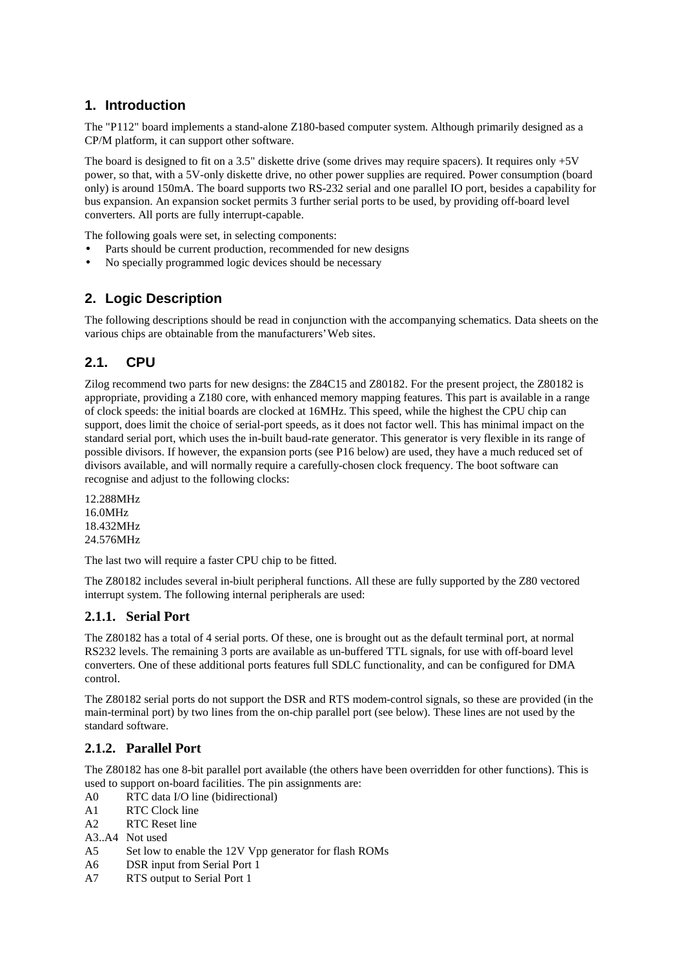# **1. Introduction**

The "P112" board implements a stand-alone Z180-based computer system. Although primarily designed as a CP/M platform, it can support other software.

The board is designed to fit on a 3.5" diskette drive (some drives may require spacers). It requires only +5V power, so that, with a 5V-only diskette drive, no other power supplies are required. Power consumption (board only) is around 150mA. The board supports two RS-232 serial and one parallel IO port, besides a capability for bus expansion. An expansion socket permits 3 further serial ports to be used, by providing off-board level converters. All ports are fully interrupt-capable.

The following goals were set, in selecting components:

- Parts should be current production, recommended for new designs
- No specially programmed logic devices should be necessary

# **2. Logic Description**

The following descriptions should be read in conjunction with the accompanying schematics. Data sheets on the various chips are obtainable from the manufacturers' Web sites.

# **2.1. CPU**

Zilog recommend two parts for new designs: the Z84C15 and Z80182. For the present project, the Z80182 is appropriate, providing a Z180 core, with enhanced memory mapping features. This part is available in a range of clock speeds: the initial boards are clocked at 16MHz. This speed, while the highest the CPU chip can support, does limit the choice of serial-port speeds, as it does not factor well. This has minimal impact on the standard serial port, which uses the in-built baud-rate generator. This generator is very flexible in its range of possible divisors. If however, the expansion ports (see P16 below) are used, they have a much reduced set of divisors available, and will normally require a carefully-chosen clock frequency. The boot software can recognise and adjust to the following clocks:

12.288MHz 16.0MHz 18.432MHz 24.576MHz

The last two will require a faster CPU chip to be fitted.

The Z80182 includes several in-biult peripheral functions. All these are fully supported by the Z80 vectored interrupt system. The following internal peripherals are used:

#### **2.1.1. Serial Port**

The Z80182 has a total of 4 serial ports. Of these, one is brought out as the default terminal port, at normal RS232 levels. The remaining 3 ports are available as un-buffered TTL signals, for use with off-board level converters. One of these additional ports features full SDLC functionality, and can be configured for DMA control.

The Z80182 serial ports do not support the DSR and RTS modem-control signals, so these are provided (in the main-terminal port) by two lines from the on-chip parallel port (see below). These lines are not used by the standard software.

#### **2.1.2. Parallel Port**

The Z80182 has one 8-bit parallel port available (the others have been overridden for other functions). This is used to support on-board facilities. The pin assignments are:

- A0 RTC data I/O line (bidirectional)
- A1 RTC Clock line
- A2 RTC Reset line
- A3..A4 Not used
- A5 Set low to enable the 12V Vpp generator for flash ROMs
- A6 DSR input from Serial Port 1
- A7 RTS output to Serial Port 1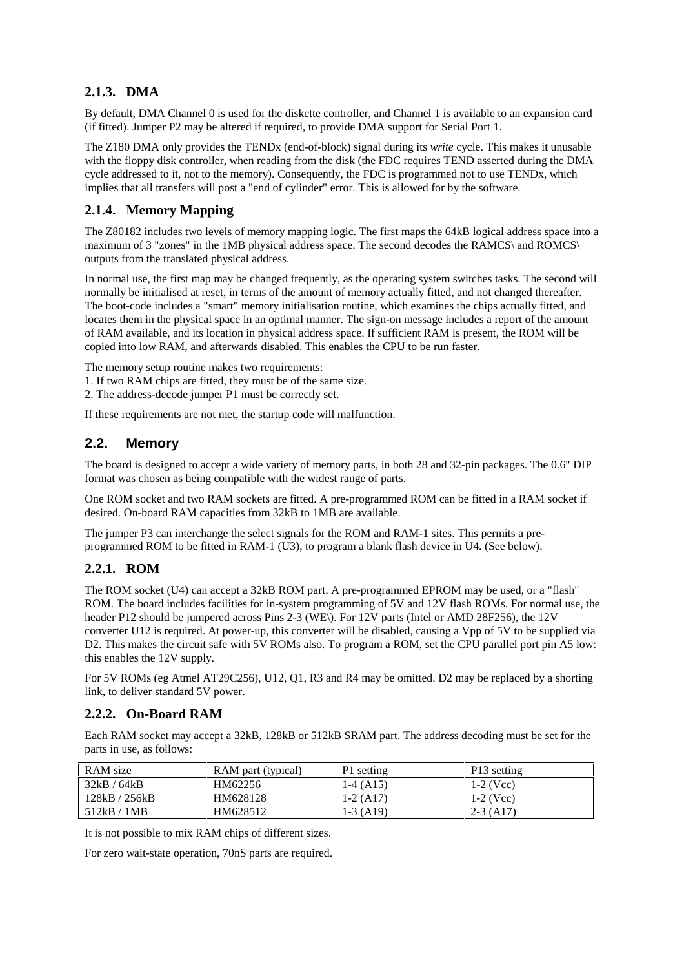# **2.1.3. DMA**

By default, DMA Channel 0 is used for the diskette controller, and Channel 1 is available to an expansion card (if fitted). Jumper P2 may be altered if required, to provide DMA support for Serial Port 1.

The Z180 DMA only provides the TENDx (end-of-block) signal during its *write* cycle. This makes it unusable with the floppy disk controller, when reading from the disk (the FDC requires TEND asserted during the DMA cycle addressed to it, not to the memory). Consequently, the FDC is programmed not to use TENDx, which implies that all transfers will post a "end of cylinder" error. This is allowed for by the software.

#### **2.1.4. Memory Mapping**

The Z80182 includes two levels of memory mapping logic. The first maps the 64kB logical address space into a maximum of 3 "zones" in the 1MB physical address space. The second decodes the RAMCS\ and ROMCS\ outputs from the translated physical address.

In normal use, the first map may be changed frequently, as the operating system switches tasks. The second will normally be initialised at reset, in terms of the amount of memory actually fitted, and not changed thereafter. The boot-code includes a "smart" memory initialisation routine, which examines the chips actually fitted, and locates them in the physical space in an optimal manner. The sign-on message includes a report of the amount of RAM available, and its location in physical address space. If sufficient RAM is present, the ROM will be copied into low RAM, and afterwards disabled. This enables the CPU to be run faster.

The memory setup routine makes two requirements:

- 1. If two RAM chips are fitted, they must be of the same size.
- 2. The address-decode jumper P1 must be correctly set.

If these requirements are not met, the startup code will malfunction.

# **2.2. Memory**

The board is designed to accept a wide variety of memory parts, in both 28 and 32-pin packages. The 0.6" DIP format was chosen as being compatible with the widest range of parts.

One ROM socket and two RAM sockets are fitted. A pre-programmed ROM can be fitted in a RAM socket if desired. On-board RAM capacities from 32kB to 1MB are available.

The jumper P3 can interchange the select signals for the ROM and RAM-1 sites. This permits a preprogrammed ROM to be fitted in RAM-1 (U3), to program a blank flash device in U4. (See below).

#### **2.2.1. ROM**

The ROM socket (U4) can accept a 32kB ROM part. A pre-programmed EPROM may be used, or a "flash" ROM. The board includes facilities for in-system programming of 5V and 12V flash ROMs. For normal use, the header P12 should be jumpered across Pins 2-3 (WE\). For 12V parts (Intel or AMD 28F256), the 12V converter U12 is required. At power-up, this converter will be disabled, causing a Vpp of 5V to be supplied via D2. This makes the circuit safe with 5V ROMs also. To program a ROM, set the CPU parallel port pin A5 low: this enables the 12V supply.

For 5V ROMs (eg Atmel AT29C256), U12, Q1, R3 and R4 may be omitted. D2 may be replaced by a shorting link, to deliver standard 5V power.

#### **2.2.2. On-Board RAM**

Each RAM socket may accept a 32kB, 128kB or 512kB SRAM part. The address decoding must be set for the parts in use, as follows:

| RAM size      | RAM part (typical) | P1 setting | P13 setting |
|---------------|--------------------|------------|-------------|
| 32kB / 64kB   | HM62256            | 1-4 (A15)  | $1-2$ (Vcc) |
| 128kB / 256kB | HM628128           | $1-2(A17)$ | $1-2$ (Vcc) |
| 512kB / 1MB   | HM628512           | $1-3(Al9)$ | $2-3(A17)$  |

It is not possible to mix RAM chips of different sizes.

For zero wait-state operation, 70nS parts are required.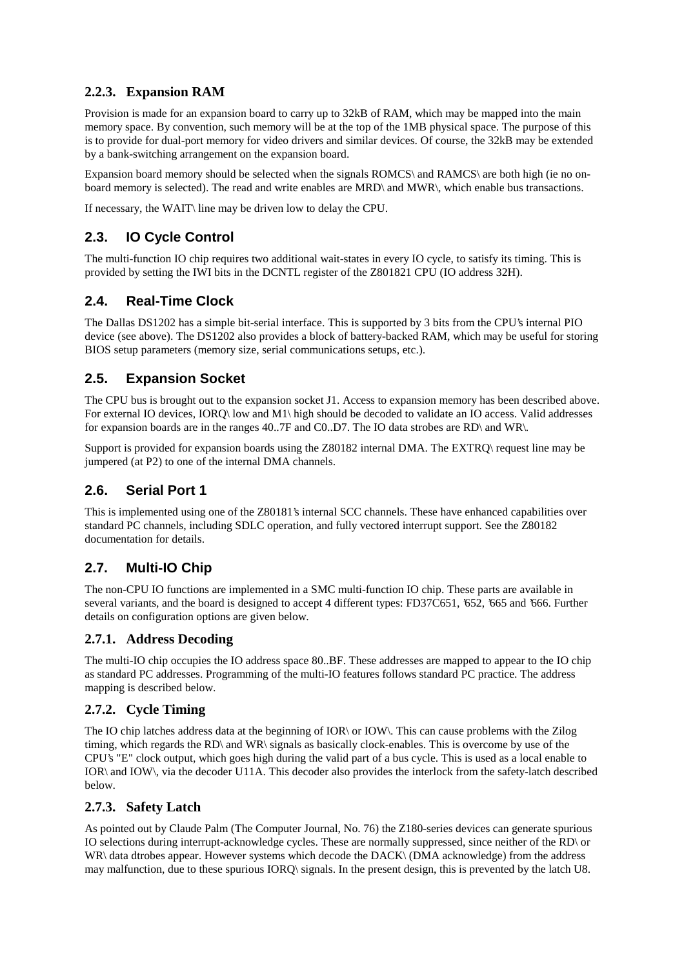# **2.2.3. Expansion RAM**

Provision is made for an expansion board to carry up to 32kB of RAM, which may be mapped into the main memory space. By convention, such memory will be at the top of the 1MB physical space. The purpose of this is to provide for dual-port memory for video drivers and similar devices. Of course, the 32kB may be extended by a bank-switching arrangement on the expansion board.

Expansion board memory should be selected when the signals ROMCS\ and RAMCS\ are both high (ie no onboard memory is selected). The read and write enables are MRD\ and MWR\, which enable bus transactions.

If necessary, the WAIT\ line may be driven low to delay the CPU.

# **2.3. IO Cycle Control**

The multi-function IO chip requires two additional wait-states in every IO cycle, to satisfy its timing. This is provided by setting the IWI bits in the DCNTL register of the Z801821 CPU (IO address 32H).

# **2.4. Real-Time Clock**

The Dallas DS1202 has a simple bit-serial interface. This is supported by 3 bits from the CPU's internal PIO device (see above). The DS1202 also provides a block of battery-backed RAM, which may be useful for storing BIOS setup parameters (memory size, serial communications setups, etc.).

## **2.5. Expansion Socket**

The CPU bus is brought out to the expansion socket J1. Access to expansion memory has been described above. For external IO devices, IORO\ low and M1\ high should be decoded to validate an IO access. Valid addresses for expansion boards are in the ranges 40..7F and C0..D7. The IO data strobes are RD\ and WR\.

Support is provided for expansion boards using the Z80182 internal DMA. The EXTRQ\ request line may be jumpered (at P2) to one of the internal DMA channels.

## **2.6. Serial Port 1**

This is implemented using one of the Z80181's internal SCC channels. These have enhanced capabilities over standard PC channels, including SDLC operation, and fully vectored interrupt support. See the Z80182 documentation for details.

## **2.7. Multi-IO Chip**

The non-CPU IO functions are implemented in a SMC multi-function IO chip. These parts are available in several variants, and the board is designed to accept 4 different types: FD37C651, '652, '665 and '666. Further details on configuration options are given below.

#### **2.7.1. Address Decoding**

The multi-IO chip occupies the IO address space 80..BF. These addresses are mapped to appear to the IO chip as standard PC addresses. Programming of the multi-IO features follows standard PC practice. The address mapping is described below.

#### **2.7.2. Cycle Timing**

The IO chip latches address data at the beginning of IOR\ or IOW\. This can cause problems with the Zilog timing, which regards the RD\ and WR\ signals as basically clock-enables. This is overcome by use of the CPU's "E" clock output, which goes high during the valid part of a bus cycle. This is used as a local enable to IOR\ and IOW\, via the decoder U11A. This decoder also provides the interlock from the safety-latch described below.

#### **2.7.3. Safety Latch**

As pointed out by Claude Palm (The Computer Journal, No. 76) the Z180-series devices can generate spurious IO selections during interrupt-acknowledge cycles. These are normally suppressed, since neither of the RD\ or WR\ data dtrobes appear. However systems which decode the DACK\ (DMA acknowledge) from the address may malfunction, due to these spurious IORQ\ signals. In the present design, this is prevented by the latch U8.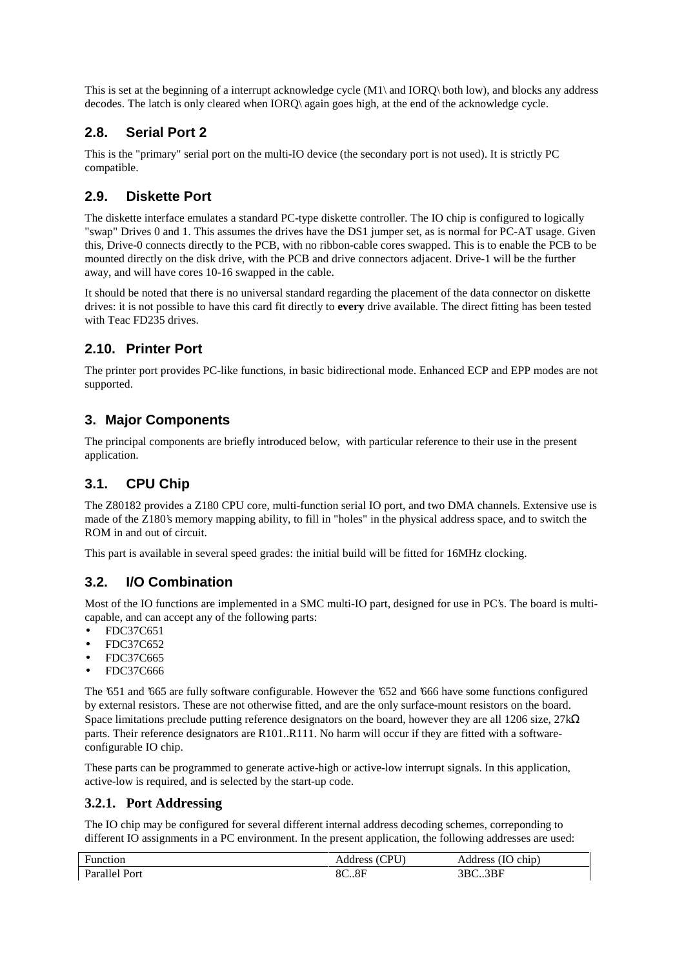This is set at the beginning of a interrupt acknowledge cycle  $(M1 \nmid \text{DRQ} \mid \text{both low})$ , and blocks any address decodes. The latch is only cleared when IORQ\ again goes high, at the end of the acknowledge cycle.

# **2.8. Serial Port 2**

This is the "primary" serial port on the multi-IO device (the secondary port is not used). It is strictly PC compatible.

# **2.9. Diskette Port**

The diskette interface emulates a standard PC-type diskette controller. The IO chip is configured to logically "swap" Drives 0 and 1. This assumes the drives have the DS1 jumper set, as is normal for PC-AT usage. Given this, Drive-0 connects directly to the PCB, with no ribbon-cable cores swapped. This is to enable the PCB to be mounted directly on the disk drive, with the PCB and drive connectors adjacent. Drive-1 will be the further away, and will have cores 10-16 swapped in the cable.

It should be noted that there is no universal standard regarding the placement of the data connector on diskette drives: it is not possible to have this card fit directly to **every** drive available. The direct fitting has been tested with Teac FD235 drives.

# **2.10. Printer Port**

The printer port provides PC-like functions, in basic bidirectional mode. Enhanced ECP and EPP modes are not supported.

# **3. Major Components**

The principal components are briefly introduced below, with particular reference to their use in the present application.

# **3.1. CPU Chip**

The Z80182 provides a Z180 CPU core, multi-function serial IO port, and two DMA channels. Extensive use is made of the Z180's memory mapping ability, to fill in "holes" in the physical address space, and to switch the ROM in and out of circuit.

This part is available in several speed grades: the initial build will be fitted for 16MHz clocking.

## **3.2. I/O Combination**

Most of the IO functions are implemented in a SMC multi-IO part, designed for use in PC's. The board is multicapable, and can accept any of the following parts:

- FDC37C651
- FDC37C652
- FDC37C665
- FDC37C666

The '651 and '665 are fully software configurable. However the '652 and '666 have some functions configured by external resistors. These are not otherwise fitted, and are the only surface-mount resistors on the board. Space limitations preclude putting reference designators on the board, however they are all 1206 size, 27k $\Omega$ parts. Their reference designators are R101..R111. No harm will occur if they are fitted with a softwareconfigurable IO chip.

These parts can be programmed to generate active-high or active-low interrupt signals. In this application, active-low is required, and is selected by the start-up code.

## **3.2.1. Port Addressing**

The IO chip may be configured for several different internal address decoding schemes, correponding to different IO assignments in a PC environment. In the present application, the following addresses are used:

| <b>D</b><br>Function | CDII<br>Address                     | ch <sub>1</sub> p<br>(IU<br>Address |
|----------------------|-------------------------------------|-------------------------------------|
| Parallel<br>Port     | $\circ$ $\Gamma$<br>$-8C_{\dots Q}$ | 3RF                                 |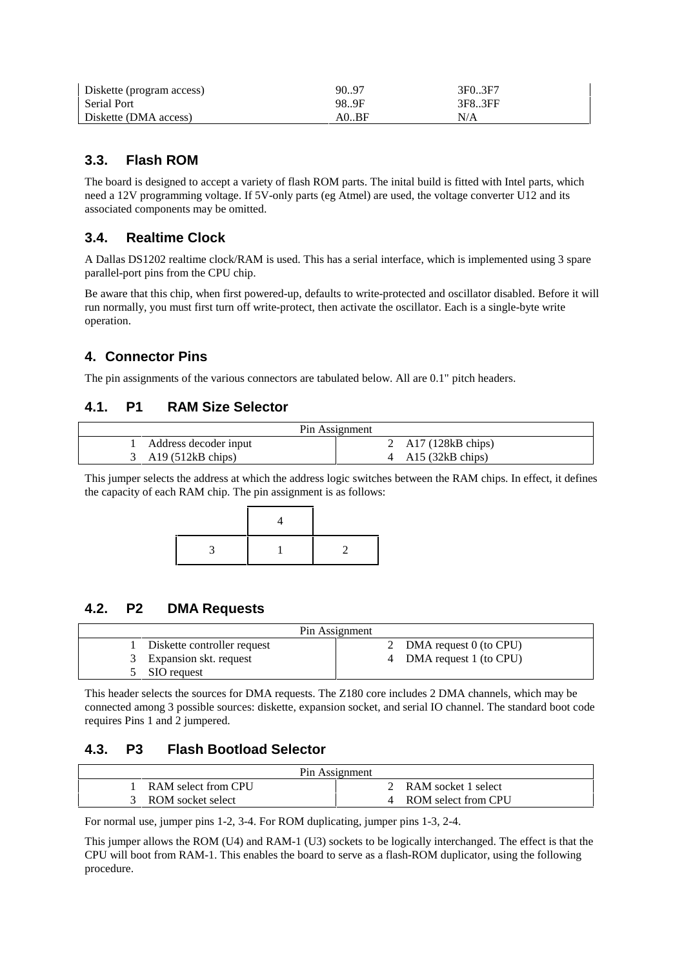| Diskette (program access) | 9097  | 3F03F7 |
|---------------------------|-------|--------|
| Serial Port               | 989F  | 3F83FF |
| Diskette (DMA access)     | A0.BF | N/A    |

### **3.3. Flash ROM**

The board is designed to accept a variety of flash ROM parts. The inital build is fitted with Intel parts, which need a 12V programming voltage. If 5V-only parts (eg Atmel) are used, the voltage converter U12 and its associated components may be omitted.

#### **3.4. Realtime Clock**

A Dallas DS1202 realtime clock/RAM is used. This has a serial interface, which is implemented using 3 spare parallel-port pins from the CPU chip.

Be aware that this chip, when first powered-up, defaults to write-protected and oscillator disabled. Before it will run normally, you must first turn off write-protect, then activate the oscillator. Each is a single-byte write operation.

## **4. Connector Pins**

The pin assignments of the various connectors are tabulated below. All are 0.1" pitch headers.

#### **4.1. P1 RAM Size Selector**

| Pin Assignment        |                       |  |  |  |
|-----------------------|-----------------------|--|--|--|
| Address decoder input | 2 A17 $(128kB$ chips) |  |  |  |
| $3$ A19 (512kB chips) | 4 A15 $(32kB$ chips)  |  |  |  |

This jumper selects the address at which the address logic switches between the RAM chips. In effect, it defines the capacity of each RAM chip. The pin assignment is as follows:

#### **4.2. P2 DMA Requests**

| Pin Assignment |                               |                            |  |  |  |  |
|----------------|-------------------------------|----------------------------|--|--|--|--|
|                | 1 Diskette controller request | 2 DMA request $0$ (to CPU) |  |  |  |  |
|                | 3 Expansion skt. request      | 4 DMA request 1 (to CPU)   |  |  |  |  |
|                | 5 SIO request                 |                            |  |  |  |  |

This header selects the sources for DMA requests. The Z180 core includes 2 DMA channels, which may be connected among 3 possible sources: diskette, expansion socket, and serial IO channel. The standard boot code requires Pins 1 and 2 jumpered.

# **4.3. P3 Flash Bootload Selector**

| Pin Assignment      |                       |  |  |  |
|---------------------|-----------------------|--|--|--|
| RAM select from CPU | 2 RAM socket 1 select |  |  |  |
| 3 ROM socket select | 4 ROM select from CPU |  |  |  |

For normal use, jumper pins 1-2, 3-4. For ROM duplicating, jumper pins 1-3, 2-4.

This jumper allows the ROM (U4) and RAM-1 (U3) sockets to be logically interchanged. The effect is that the CPU will boot from RAM-1. This enables the board to serve as a flash-ROM duplicator, using the following procedure.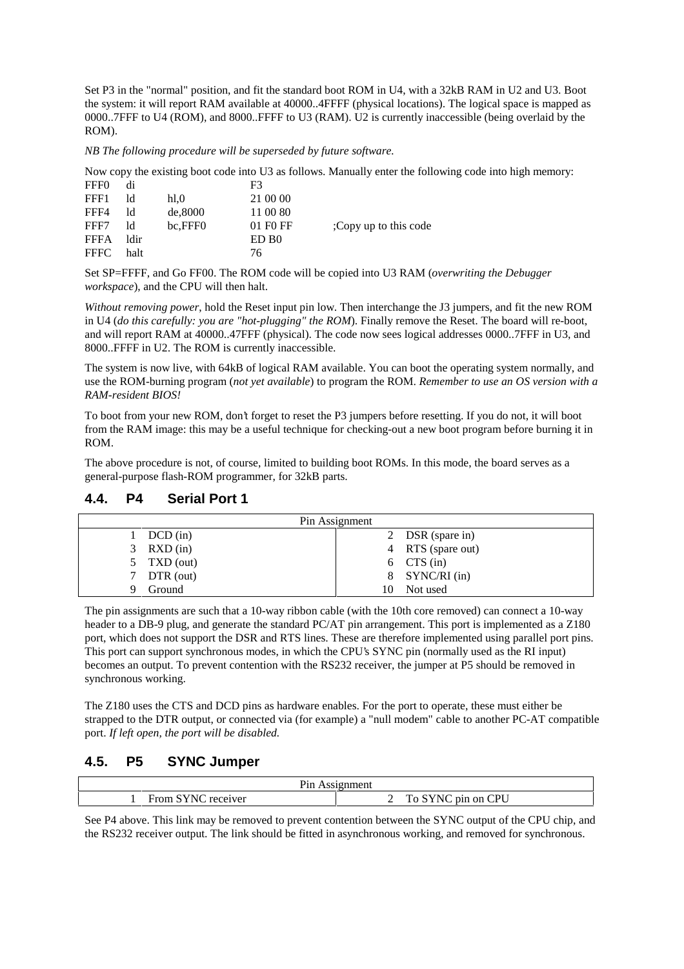Set P3 in the "normal" position, and fit the standard boot ROM in U4, with a 32kB RAM in U2 and U3. Boot the system: it will report RAM available at 40000..4FFFF (physical locations). The logical space is mapped as 0000..7FFF to U4 (ROM), and 8000..FFFF to U3 (RAM). U2 is currently inaccessible (being overlaid by the ROM).

*NB The following procedure will be superseded by future software.*

Now copy the existing boot code into U3 as follows. Manually enter the following code into high memory:

| di    |          | F3                |                       |
|-------|----------|-------------------|-----------------------|
| ld    | h1.0     | 21 00 00          |                       |
| 14    | de, 8000 | 11 00 80          |                       |
| ld    | bc.FFF0  | 01 FO FF          | :Copy up to this code |
| ldir. |          | ED B <sub>0</sub> |                       |
| halt  |          | 76                |                       |
|       |          |                   |                       |

Set SP=FFFF, and Go FF00. The ROM code will be copied into U3 RAM (*overwriting the Debugger workspace*), and the CPU will then halt.

*Without removing power*, hold the Reset input pin low. Then interchange the J3 jumpers, and fit the new ROM in U4 (*do this carefully: you are "hot-plugging" the ROM*). Finally remove the Reset. The board will re-boot, and will report RAM at 40000..47FFF (physical). The code now sees logical addresses 0000..7FFF in U3, and 8000..FFFF in U2. The ROM is currently inaccessible.

The system is now live, with 64kB of logical RAM available. You can boot the operating system normally, and use the ROM-burning program (*not yet available*) to program the ROM. *Remember to use an OS version with a RAM-resident BIOS!*

To boot from your new ROM, don't forget to reset the P3 jumpers before resetting. If you do not, it will boot from the RAM image: this may be a useful technique for checking-out a new boot program before burning it in ROM.

The above procedure is not, of course, limited to building boot ROMs. In this mode, the board serves as a general-purpose flash-ROM programmer, for 32kB parts.

#### **4.4. P4 Serial Port 1**

| Pin Assignment |              |    |                   |
|----------------|--------------|----|-------------------|
|                | $DCD$ (in)   |    | 2 DSR (spare in)  |
|                | $3$ RXD (in) |    | 4 RTS (spare out) |
|                | 5 TXD (out)  |    | $6$ CTS (in)      |
|                | 7 DTR (out)  |    | 8 SYNC/RI (in)    |
|                | Ground       | 10 | Not used          |

The pin assignments are such that a 10-way ribbon cable (with the 10th core removed) can connect a 10-way header to a DB-9 plug, and generate the standard PC/AT pin arrangement. This port is implemented as a Z180 port, which does not support the DSR and RTS lines. These are therefore implemented using parallel port pins. This port can support synchronous modes, in which the CPU's SYNC pin (normally used as the RI input) becomes an output. To prevent contention with the RS232 receiver, the jumper at P5 should be removed in synchronous working.

The Z180 uses the CTS and DCD pins as hardware enables. For the port to operate, these must either be strapped to the DTR output, or connected via (for example) a "null modem" cable to another PC-AT compatible port. *If left open, the port will be disabled.*

#### **4.5. P5 SYNC Jumper**

| Pin       |            |  |  |  |
|-----------|------------|--|--|--|
| From SYNC | pin on CPU |  |  |  |
| receiver  | YNC        |  |  |  |

See P4 above. This link may be removed to prevent contention between the SYNC output of the CPU chip, and the RS232 receiver output. The link should be fitted in asynchronous working, and removed for synchronous.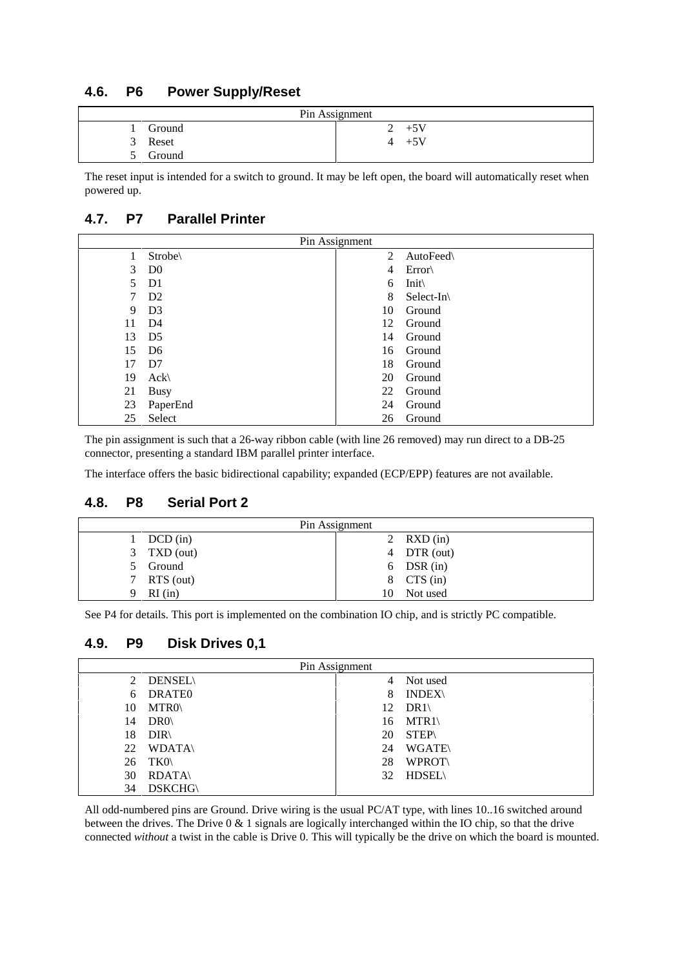### **4.6. P6 Power Supply/Reset**

| Pin Assignment |          |  |  |
|----------------|----------|--|--|
| Ground         | $2 + 5V$ |  |  |
| 3 Reset        | $4 + 5V$ |  |  |
| Ground         |          |  |  |

The reset input is intended for a switch to ground. It may be left open, the board will automatically reset when powered up.

## **4.7. P7 Parallel Printer**

| Pin Assignment |                |    |                    |  |
|----------------|----------------|----|--------------------|--|
|                | Strobe\        | 2  | AutoFeed $\langle$ |  |
| 3              | D <sub>0</sub> | 4  | $Error \setminus$  |  |
| 5              | D1             | 6  | $Init \setminus$   |  |
|                | D <sub>2</sub> | 8  | Select-In\         |  |
| 9              | D <sub>3</sub> | 10 | Ground             |  |
| 11             | D <sub>4</sub> | 12 | Ground             |  |
| 13             | D <sub>5</sub> | 14 | Ground             |  |
| 15             | D <sub>6</sub> | 16 | Ground             |  |
| 17             | D7             | 18 | Ground             |  |
| 19             | Ack            | 20 | Ground             |  |
| 21             | <b>Busy</b>    | 22 | Ground             |  |
| 23             | PaperEnd       | 24 | Ground             |  |
| 25             | Select         | 26 | Ground             |  |

The pin assignment is such that a 26-way ribbon cable (with line 26 removed) may run direct to a DB-25 connector, presenting a standard IBM parallel printer interface.

The interface offers the basic bidirectional capability; expanded (ECP/EPP) features are not available.

#### **4.8. P8 Serial Port 2**

| Pin Assignment |               |    |              |
|----------------|---------------|----|--------------|
|                | 1 DCD $(in)$  |    | 2 RXD $(in)$ |
|                | $3$ TXD (out) |    | 4 DTR (out)  |
| $\sim$         | Ground        |    | $6$ DSR (in) |
|                | 7 RTS (out)   |    | 8 $CTS$ (in) |
| Q              | RI(in)        | 10 | Not used     |

See P4 for details. This port is implemented on the combination IO chip, and is strictly PC compatible.

#### **4.9. P9 Disk Drives 0,1**

| Pin Assignment |                    |    |                 |
|----------------|--------------------|----|-----------------|
| 2              | <b>DENSEL</b>      | 4  | Not used        |
| 6              | DRATE <sub>0</sub> | 8  | <b>INDEX</b>    |
| 10             | $MTR0\setminus$    | 12 | DR1             |
| 14             | $DR0\langle$       | 16 | MTR1            |
| 18             | $DIR\setminus$     | 20 | $STEP\setminus$ |
| 22             | <b>WDATA</b>       | 24 | <b>WGATE</b>    |
| 26             | $TK0\setminus$     | 28 | <b>WPROT\</b>   |
| 30             | <b>RDATA</b>       | 32 | <b>HDSEL</b>    |
| 34             | <b>DSKCHG\</b>     |    |                 |

All odd-numbered pins are Ground. Drive wiring is the usual PC/AT type, with lines 10..16 switched around between the drives. The Drive 0 & 1 signals are logically interchanged within the IO chip, so that the drive connected *without* a twist in the cable is Drive 0. This will typically be the drive on which the board is mounted.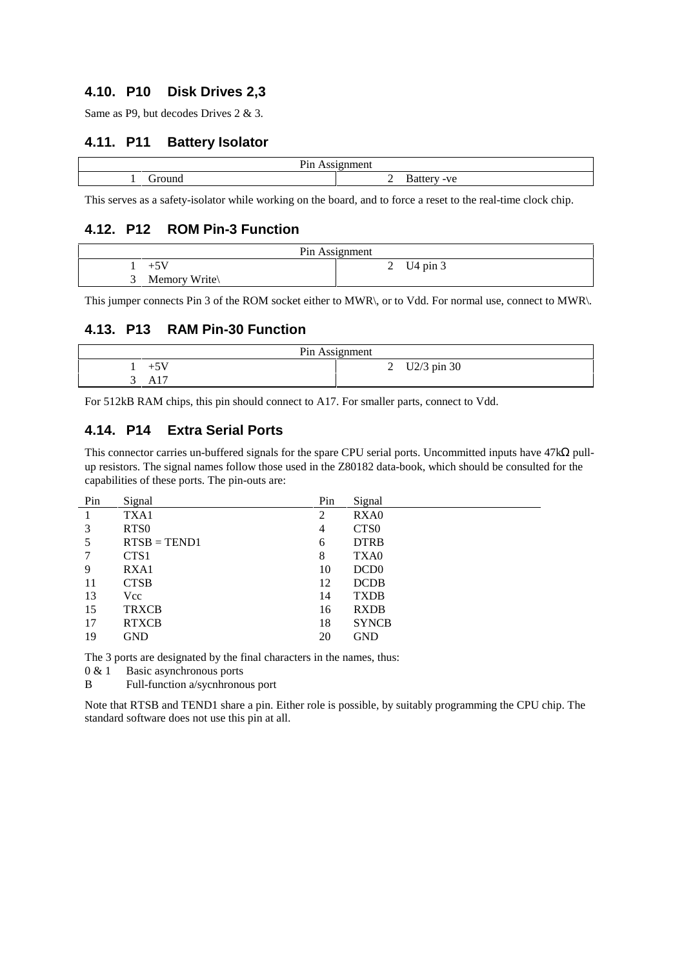#### **4.10. P10 Disk Drives 2,3**

Same as P9, but decodes Drives 2 & 3.

#### **4.11. P11 Battery Isolator**

| n'<br>.<br>ımen<br>п<br>$\cdots$<br>------ |                  |  |  |
|--------------------------------------------|------------------|--|--|
| round <sup>:</sup>                         | -ve<br>ucce<br>- |  |  |

This serves as a safety-isolator while working on the board, and to force a reset to the real-time clock chip.

### **4.12. P12 ROM Pin-3 Function**

| Pin Assignment           |                       |  |  |
|--------------------------|-----------------------|--|--|
| $+5V$                    | 2 $U4 \text{ pin } 3$ |  |  |
| 3 Memory Write $\langle$ |                       |  |  |

This jumper connects Pin 3 of the ROM socket either to MWR\, or to Vdd. For normal use, connect to MWR\.

#### **4.13. P13 RAM Pin-30 Function**

| Pin Assignment |                 |  |  |
|----------------|-----------------|--|--|
| $+5V$          | 2 $U2/3$ pin 30 |  |  |
| A17            |                 |  |  |

For 512kB RAM chips, this pin should connect to A17. For smaller parts, connect to Vdd.

#### **4.14. P14 Extra Serial Ports**

This connector carries un-buffered signals for the spare CPU serial ports. Uncommitted inputs have 47kΩ pullup resistors. The signal names follow those used in the Z80182 data-book, which should be consulted for the capabilities of these ports. The pin-outs are:

| Signal           | Pin | Signal           |
|------------------|-----|------------------|
| TXA1             | 2   | RXA0             |
| RTS <sub>0</sub> | 4   | CTS <sub>0</sub> |
| $RTSB = TEND1$   | 6   | <b>DTRB</b>      |
| CTS1             | 8   | TXA0             |
| RXA1             | 10  | DCD <sub>0</sub> |
| <b>CTSB</b>      | 12  | <b>DCDB</b>      |
| Vcc              | 14  | <b>TXDB</b>      |
| <b>TRXCB</b>     | 16  | <b>RXDB</b>      |
| <b>RTXCB</b>     | 18  | <b>SYNCB</b>     |
| <b>GND</b>       | 20  | GND              |
|                  |     |                  |

The 3 ports are designated by the final characters in the names, thus:

0 & 1 Basic asynchronous ports

B Full-function a/sycnhronous port

Note that RTSB and TEND1 share a pin. Either role is possible, by suitably programming the CPU chip. The standard software does not use this pin at all.